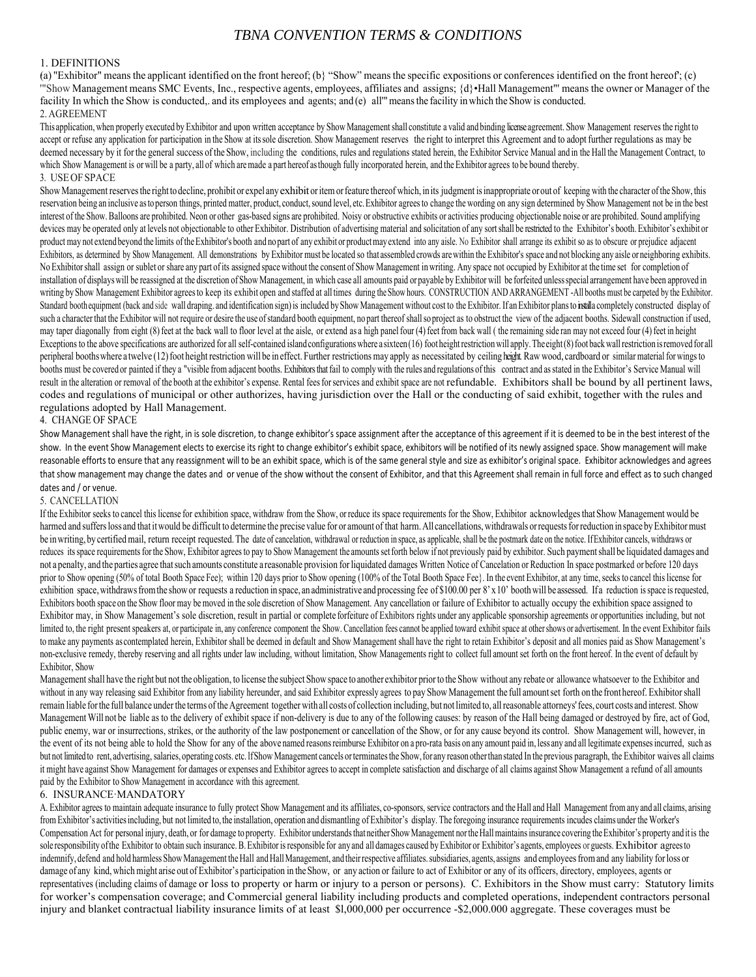# *TBNA CONVENTION TERMS & CONDITIONS*

# 1. DEFINITIONS

(a) "Exhibitor" means the applicant identified on the front hereof; (b) "Show" means the specific expositions or conferences identified on the front hereof; (c) '"Show Management means SMC Events, Inc., respective agents, employees, affiliates and assigns; {d}•Hall Management"' means the owner or Manager of the facility In which the Show is conducted,, and its employees and agents; and (e) all<sup>'"</sup> means the facility in which the Show is conducted. 2. AGREEMENT

This application, when properly executed by Exhibitor and upon written acceptance by Show Management shall constitute a valid and binding license agreement. Show Management reserves the right to accept or refuse any application for participation in the Show at its sole discretion. Show Management reserves the right to interpret this Agreement and to adopt further regulations as may be deemed necessary by it for the general success of the Show, including the conditions, rules and regulations stated herein, the Exhibitor Service Manual and in the Hall the Management Contract, to which Show Management is or will be a party, all of which are made a part hereof as though fully incorporated herein, and the Exhibitor agrees to be bound thereby. 3. USE OF SPACE

Show Management reserves the right to decline, prohibit or expel any exhibit or item or feature thereof which, in its judgment is inappropriate or out of keeping with the character of the Show, this reservation being an inclusive as to person things, printed matter, product, conduct, sound level, etc. Exhibitor agrees to change the wording on any sign determined by Show Management not be in the best interest of the Show. Balloons are prohibited. Neon or other gas-based signs are prohibited. Noisy or obstructive exhibits or activities producing objectionable noise or are prohibited. Sound amplifying devices may be operated only at levels not objectionable to other Exhibitor. Distribution of advertising material and solicitation of any sort shall be restricted to the Exhibitor's booth. Exhibitor's exhibit or product may not extend beyond the limits of the Exhibitor's booth and no part of any exhibit or product may extend into any aisle. No Exhibitor shall arrange its exhibit so as to obscure or prejudice adjacent Exhibitors, as determined by Show Management. All demonstrations by Exhibitor must be located so that assembled crowds are within the Exhibitor's space and not blocking any aisle or neighboring exhibits. No Exhibitor shall assign or sublet or share any part of its assigned space without the consent of Show Management in writing. Any space not occupied by Exhibitor at the time set for completion of installation of displays will be reassigned at the discretion of Show Management, in which case all amounts paid or payable by Exhibitor will be forfeited unless special arrangement have been approved in writing by Show Management Exhibitor agrees to keep its exhibit open and staffed at all times during the Show hours. CONSTRUCTION AND ARRANGEMENT -All booths must be carpeted by the Exhibitor. Standard booth equipment (back and side wall draping. and identification sign) is included by Show Management without cost to the Exhibitor. If an Exhibitor plans to installa completely constructed display of such a character that the Exhibitor will not require or desire the use of standard booth equipment, no part thereof shall so project as to obstruct the view of the adjacent booths. Sidewall construction if used, may taper diagonally from eight (8) feet at the back wall to floor level at the aisle, or extend as a high panel four (4) feet from back wall (the remaining side ran may not exceed four (4) feet in height Exceptions to the above specifications are authorized for all self-contained island configurations where a sixteen (16) foot height restriction will apply. The eight (8) foot back wall restriction is removed for all peripheral booths where a twelve (12) foot height restriction will be in effect. Further restrictions may apply as necessitated by ceiling height. Raw wood, cardboard or similar material for wings to booths must be covered or painted if they a "visible from adjacent booths. Exhibitors that fail to comply with the rules and regulations of this contract and as stated in the Exhibitor's Service Manual will result in the alteration or removal of the booth at the exhibitor's expense. Rental fees for services and exhibit space are not refundable. Exhibitors shall be bound by all pertinent laws, codes and regulations of municipal or other authorizes, having jurisdiction over the Hall or the conducting of said exhibit, together with the rules and regulations adopted by Hall Management.

## 4. CHANGE OF SPACE

Show Management shall have the right, in is sole discretion, to change exhibitor's space assignment after the acceptance of this agreement if it is deemed to be in the best interest of the show. In the event Show Management elects to exercise its right to change exhibitor's exhibit space, exhibitors will be notified of its newly assigned space. Show management will make reasonable efforts to ensure that any reassignment will to be an exhibit space, which is of the same general style and size as exhibitor's original space. Exhibitor acknowledges and agrees that show management may change the dates and or venue of the show without the consent of Exhibitor, and that this Agreement shall remain in full force and effect as to such changed dates and / or venue.

#### 5. CANCELLATION

If the Exhibitor seeks to cancel this license for exhibition space, withdraw from the Show, or reduce its space requirements for the Show, Exhibitor acknowledges that Show Management would be harmed and suffers loss and that it would be difficult to determine the precise value for or amount of that harm. All cancellations, withdrawals or requests for reduction in space by Exhibitor must be in writing, by certified mail, return receipt requested. The date of cancelation, withdrawal or reduction in space, as applicable, shall be the postmark date on the notice. If Exhibitor cancels, withdraws or reduces its space requirements for the Show, Exhibitor agrees to pay to Show Management the amounts set forth below if not previously paid by exhibitor. Such payment shall be liquidated damages and not a penalty, and the parties agree that such amounts constitute a reasonable provision for liquidated damages Written Notice of Cancelation or Reduction In space postmarked or before 120 days prior to Show opening (50% of total Booth Space Fee); within 120 days prior to Show opening (100% of the Total Booth Space Fee). In the event Exhibitor, at any time, seeks to cancel this license for exhibition space, withdraws from the show or requests a reduction in space, an administrative and processing fee of \$100.00 per 8' x 10' booth will be assessed. If a reduction is space is requested, Exhibitors booth space on the Show floor may be moved in the sole discretion of Show Management. Any cancellation or failure of Exhibitor to actually occupy the exhibition space assigned to Exhibitor may, in Show Management's sole discretion, result in partial or complete forfeiture of Exhibitors rights under any applicable sponsorship agreements or opportunities including, but not limited to, the right present speakers at, or participate in, any conference component the Show. Cancellation fees cannot be applied toward exhibit space at other shows or advertisement. In the event Exhibitor fails to make any payments as contemplated herein, Exhibitor shall be deemed in default and Show Management shall have the right to retain Exhibitor's deposit and all monies paid as Show Management's non-exclusive remedy, thereby reserving and all rights under law including, without limitation, Show Managements right to collect full amount set forth on the front hereof. In the event of default by Exhibitor, Show

Management shall have the right but not the obligation, to license the subject Show space to another exhibitor prior to the Show without any rebate or allowance whatsoever to the Exhibitor and without in any way releasing said Exhibitor from any liability hereunder, and said Exhibitor expressly agrees to pay Show Management the full amount set forth on the front hereof. Exhibitor shall remain liable for the full balance under the terms of the Agreement together with all costs of collection including, but not limited to, all reasonable attorneys' fees, court costs and interest. Show Management Will not be liable as to the delivery of exhibit space if non-delivery is due to any of the following causes: by reason of the Hall being damaged or destroyed by fire, act of God, public enemy, war or insurrections, strikes, or the authority of the law postponement or cancellation of the Show, or for any cause beyond its control. Show Management will, however, in the event of its not being able to hold the Show for any of the above named reasons reimburse Exhibitor on a pro-rata basis on any amount paid in, less any and all legitimate expenses incurred, such as but not limited to rent, advertising, salaries, operating costs. etc. If Show Management cancels or terminates the Show, for any reason other than stated In the previous paragraph, the Exhibitor waives all claims it might have against Show Management for damages or expenses and Exhibitor agrees to accept in complete satisfaction and discharge of all claims against Show Management a refund of all amounts paid by the Exhibitor to Show Management in accordance with this agreement.

#### 6. INSURANCE·MANDATORY

A. Exhibitor agrees to maintain adequate insurance to fully protect Show Management and its affiliates, co-sponsors, service contractors and the Hall and Hall Management from any and all claims, arising from Exhibitor's activities including, but not limited to, the installation, operation and dismantling of Exhibitor's display. The foregoing insurance requirements incudes claims under the Worker's Compensation Act for personal injury, death, or for damage to property. Exhibitor understands that neither Show Management nor the Hall maintains insurance covering the Exhibitor's property and it is the sole responsibility of the Exhibitor to obtain such insurance. B. Exhibitor is responsible for any and all damages caused by Exhibitor or Exhibitor's agents, employees or guests. Exhibitor agrees to indemnify, defend and hold harmless Show Management the Hall and Hall Management, and their respective affiliates. subsidiaries, agents, assigns and employees from and any liability for loss or damage of any kind, which might arise out of Exhibitor's participation in the Show, or any action or failure to act of Exhibitor or any of its officers, directory, employees, agents or representatives (including claims of damage or loss to property or harm or injury to a person or persons). C. Exhibitors in the Show must carry: Statutory limits for worker's compensation coverage; and Commercial general liability including products and completed operations, independent contractors personal injury and blanket contractual liability insurance limits of at least \$l,000,000 per occurrence -\$2,000.000 aggregate. These coverages must be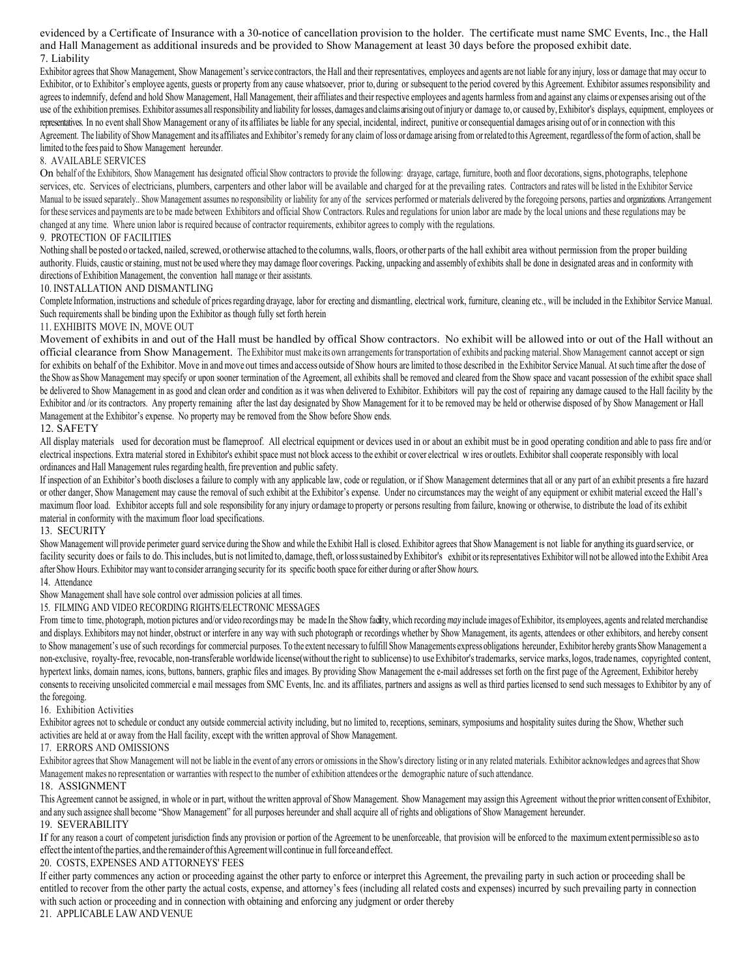evidenced by a Certificate of Insurance with a 30-notice of cancellation provision to the holder. The certificate must name SMC Events, Inc., the Hall and Hall Management as additional insureds and be provided to Show Management at least 30 days before the proposed exhibit date. 7. Liability

Exhibitor agrees that Show Management, Show Management's service contractors, the Hall and their representatives, employees and agents are not liable for any injury, loss or damage that may occur to Exhibitor, or to Exhibitor's employee agents, guests or property from any cause whatsoever, prior to, during or subsequent to the period covered by this Agreement. Exhibitor assumes responsibility and agrees to indemnify, defend and hold Show Management, Hall Management, their affiliates and their respective employees and agents harmless from and against any claims or expenses arising out of the use of the exhibition premises. Exhibitor assumes all responsibility and liability for losses, damages and claims arising out of injury or damage to, or caused by, Exhibitor's displays, equipment, employees or representatives. In no event shall Show Management or any of its affiliates be liable for any special, incidental, indirect, punitive or consequential damages arising out of or in connection with this Agreement. The liability of Show Management and its affiliates and Exhibitor's remedy for any claim of loss or damage arising from or related to this Agreement, regardless of the form of action, shall be limited to the fees paid to Show Management hereunder.

## 8. AVAILABLE SERVICES

On behalf of the Exhibitors, Show Management has designated official Show contractors to provide the following: drayage, cartage, furniture, booth and floor decorations, signs, photographs, telephone services, etc. Services of electricians, plumbers, carpenters and other labor will be available and charged for at the prevailing rates. Contractors and rates will be listed in the Exhibitor Service Manual to be issued separately.. Show Management assumes no responsibility or liability for any of the services performed or materials delivered by the foregoing persons, parties and organizations. Arrangement for these services and payments are to be made between Exhibitors and official Show Contractors. Rules and regulations for union labor are made by the local unions and these regulations may be changed at any time. Where union labor is required because of contractor requirements, exhibitor agrees to comply with the regulations.

### 9. PROTECTION OF FACILITIES

Nothing shall be posted o or tacked, nailed, screwed, or otherwise attached to the columns, walls, floors, or other parts of the hall exhibit area without permission from the proper building authority. Fluids, caustic or staining, must not be used where they may damage floor coverings. Packing, unpacking and assembly of exhibits shall be done in designated areas and in conformity with directions of Exhibition Management, the convention hall manage or their assistants.

# 10. INSTALLATION AND DISMANTLING

Complete Information, instructions and schedule of prices regarding drayage, labor for erecting and dismantling, electrical work, furniture, cleaning etc., will be included in the Exhibitor Service Manual. Such requirements shall be binding upon the Exhibitor as though fully set forth herein

## 11. EXHIBITS MOVE IN, MOVE OUT

Movement of exhibits in and out of the Hall must be handled by offical Show contractors. No exhibit will be allowed into or out of the Hall without an official clearance from Show Management. The Exhibitor must make its own arrangements for transportation of exhibits and packing material. Show Management cannot accept or sign for exhibits on behalf of the Exhibitor. Move in and move out times and access outside of Show hours are limited to those described in the Exhibitor Service Manual. At such time after the dose of the Show as Show Management may specify or upon sooner termination of the Agreement, all exhibits shall be removed and cleared from the Show space and vacant possession of the exhibit space shall be delivered to Show Management in as good and clean order and condition as it was when delivered to Exhibitor. Exhibitors will pay the cost of repairing any damage caused to the Hall facility by the Exhibitor and /or its contractors. Any property remaining after the last day designated by Show Management for it to be removed may be held or otherwise disposed of by Show Management or Hall Management at the Exhibitor's expense. No property may be removed from the Show before Show ends.

### 12. SAFETY

All display materials used for decoration must be flameproof. All electrical equipment or devices used in or about an exhibit must be in good operating condition and able to pass fire and/or electrical inspections. Extra material stored in Exhibitor's exhibit space must not block access to the exhibit or cover electrical w ires or outlets. Exhibitor shall cooperate responsibly with local ordinances and Hall Management rules regarding health, fire prevention and public safety.

If inspection of an Exhibitor's booth discloses a failure to comply with any applicable law, code or regulation, or if Show Management determines that all or any part of an exhibit presents a fire hazard or other danger, Show Management may cause the removal of such exhibit at the Exhibitor's expense. Under no circumstances may the weight of any equipment or exhibit material exceed the Hall's maximum floor load. Exhibitor accepts full and sole responsibility for any injury or damage to property or persons resulting from failure, knowing or otherwise, to distribute the load of its exhibit material in conformity with the maximum floor load specifications.

#### 13. SECURITY

Show Management will provide perimeter guard service during the Show and while the Exhibit Hall is closed. Exhibitor agrees that Show Management is not liable for anything its guard service, or facility security does or fails to do. This includes, but is not limited to, damage, theft, or loss sustained by Exhibitor's exhibit or its representatives Exhibitor will not be allowed into the Exhibit Area after Show Hours. Exhibitor may want to consider arranging security for its specific booth space for either during or after Show *hours.* 

# 14. Attendance

Show Management shall have sole control over admission policies at all times.

15. FILMING AND VIDEO RECORDING RIGHTS/ELECTRONIC MESSAGES

From time to time, photograph, motion pictures and/or video recordings may be made In the Show facility, which recording *may* include images of Exhibitor, its employees, agents and related merchandise and displays. Exhibitors may not hinder, obstruct or interfere in any way with such photograph or recordings whether by Show Management, its agents, attendees or other exhibitors, and hereby consent to Show management's use of such recordings for commercial purposes. To the extent necessary to fulfill Show Managements express obligations hereunder, Exhibitor hereby grants Show Management a non-exclusive, royalty-free, revocable, non-transferable worldwide license(without the right to sublicense) to use Exhibitor's trademarks, service marks, logos, trade names, copyrighted content, hypertext links, domain names, icons, buttons, banners, graphic files and images. By providing Show Management the e-mail addresses set forth on the first page of the Agreement, Exhibitor hereby consents to receiving unsolicited commercial e mail messages from SMC Events, Inc. and its affiliates, partners and assigns as well as third parties licensed to send such messages to Exhibitor by any of the foregoing.

#### 16. Exhibition Activities

Exhibitor agrees not to schedule or conduct any outside commercial activity including, but no limited to, receptions, seminars, symposiums and hospitality suites during the Show, Whether such activities are held at or away from the Hall facility, except with the written approval of Show Management.

## 17. ERRORS AND OMISSIONS

Exhibitor agrees that Show Management will not be liable in the event of any errors or omissions in the Show's directory listing or in any related materials. Exhibitor acknowledges and agrees that Show Management makes no representation or warranties with respect to the number of exhibition attendees or the demographic nature of such attendance.

#### 18. ASSIGNMENT

This Agreement cannot be assigned, in whole or in part, without the written approval of Show Management. Show Management may assign this Agreement without the prior written consent of Exhibitor, and any such assignee shall become "Show Management" for all purposes hereunder and shall acquire all of rights and obligations of Show Management hereunder. 19. SEVERABILITY

If for any reason a court of competent jurisdiction finds any provision or portion of the Agreement to be unenforceable, that provision will be enforced to the maximum extent permissible so as to effect the intent of the parties, and the remainder of this Agreement will continue in full force and effect.

#### 20. COSTS, EXPENSES AND ATTORNEYS' FEES

If either party commences any action or proceeding against the other party to enforce or interpret this Agreement, the prevailing party in such action or proceeding shall be entitled to recover from the other party the actual costs, expense, and attorney's fees (including all related costs and expenses) incurred by such prevailing party in connection with such action or proceeding and in connection with obtaining and enforcing any judgment or order thereby

21. APPLICABLE LAW AND VENUE